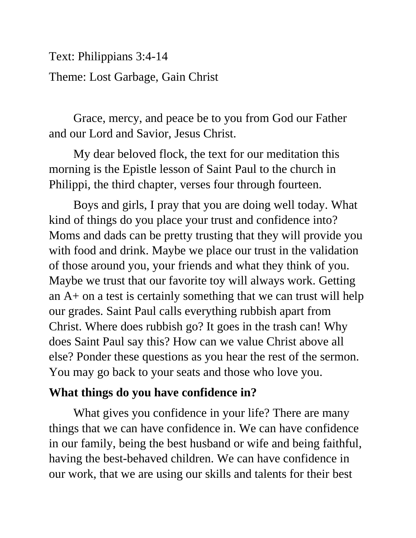Text: Philippians 3:4-14

## Theme: Lost Garbage, Gain Christ

Grace, mercy, and peace be to you from God our Father and our Lord and Savior, Jesus Christ.

My dear beloved flock, the text for our meditation this morning is the Epistle lesson of Saint Paul to the church in Philippi, the third chapter, verses four through fourteen.

Boys and girls, I pray that you are doing well today. What kind of things do you place your trust and confidence into? Moms and dads can be pretty trusting that they will provide you with food and drink. Maybe we place our trust in the validation of those around you, your friends and what they think of you. Maybe we trust that our favorite toy will always work. Getting an A+ on a test is certainly something that we can trust will help our grades. Saint Paul calls everything rubbish apart from Christ. Where does rubbish go? It goes in the trash can! Why does Saint Paul say this? How can we value Christ above all else? Ponder these questions as you hear the rest of the sermon. You may go back to your seats and those who love you.

## **What things do you have confidence in?**

What gives you confidence in your life? There are many things that we can have confidence in. We can have confidence in our family, being the best husband or wife and being faithful, having the best-behaved children. We can have confidence in our work, that we are using our skills and talents for their best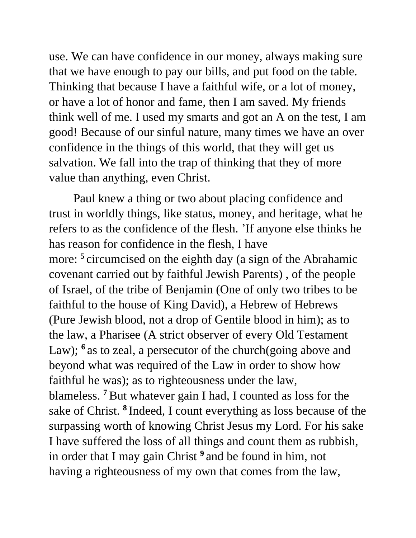use. We can have confidence in our money, always making sure that we have enough to pay our bills, and put food on the table. Thinking that because I have a faithful wife, or a lot of money, or have a lot of honor and fame, then I am saved. My friends think well of me. I used my smarts and got an A on the test, I am good! Because of our sinful nature, many times we have an over confidence in the things of this world, that they will get us salvation. We fall into the trap of thinking that they of more value than anything, even Christ.

Paul knew a thing or two about placing confidence and trust in worldly things, like status, money, and heritage, what he refers to as the confidence of the flesh. 'If anyone else thinks he has reason for confidence in the flesh, I have more: **<sup>5</sup>** circumcised on the eighth day (a sign of the Abrahamic covenant carried out by faithful Jewish Parents) , of the people of Israel, of the tribe of Benjamin (One of only two tribes to be faithful to the house of King David), a Hebrew of Hebrews (Pure Jewish blood, not a drop of Gentile blood in him); as to the law, a Pharisee (A strict observer of every Old Testament Law); <sup>6</sup> as to zeal, a persecutor of the church(going above and beyond what was required of the Law in order to show how faithful he was); as to righteousness under the law, blameless. **<sup>7</sup>**But whatever gain I had, I counted as loss for the sake of Christ. **<sup>8</sup>** Indeed, I count everything as loss because of the surpassing worth of knowing Christ Jesus my Lord. For his sake I have suffered the loss of all things and count them as rubbish, in order that I may gain Christ **<sup>9</sup>** and be found in him, not having a righteousness of my own that comes from the law,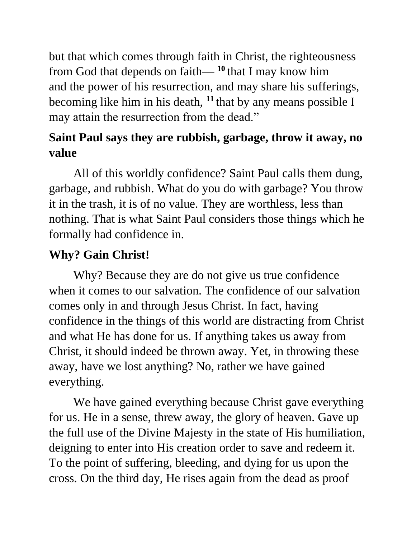but that which comes through faith in Christ, the righteousness from God that depends on faith— **<sup>10</sup>** that I may know him and the power of his resurrection, and may share his sufferings, becoming like him in his death, **<sup>11</sup>** that by any means possible I may attain the resurrection from the dead."

## **Saint Paul says they are rubbish, garbage, throw it away, no value**

All of this worldly confidence? Saint Paul calls them dung, garbage, and rubbish. What do you do with garbage? You throw it in the trash, it is of no value. They are worthless, less than nothing. That is what Saint Paul considers those things which he formally had confidence in.

## **Why? Gain Christ!**

Why? Because they are do not give us true confidence when it comes to our salvation. The confidence of our salvation comes only in and through Jesus Christ. In fact, having confidence in the things of this world are distracting from Christ and what He has done for us. If anything takes us away from Christ, it should indeed be thrown away. Yet, in throwing these away, have we lost anything? No, rather we have gained everything.

We have gained everything because Christ gave everything for us. He in a sense, threw away, the glory of heaven. Gave up the full use of the Divine Majesty in the state of His humiliation, deigning to enter into His creation order to save and redeem it. To the point of suffering, bleeding, and dying for us upon the cross. On the third day, He rises again from the dead as proof